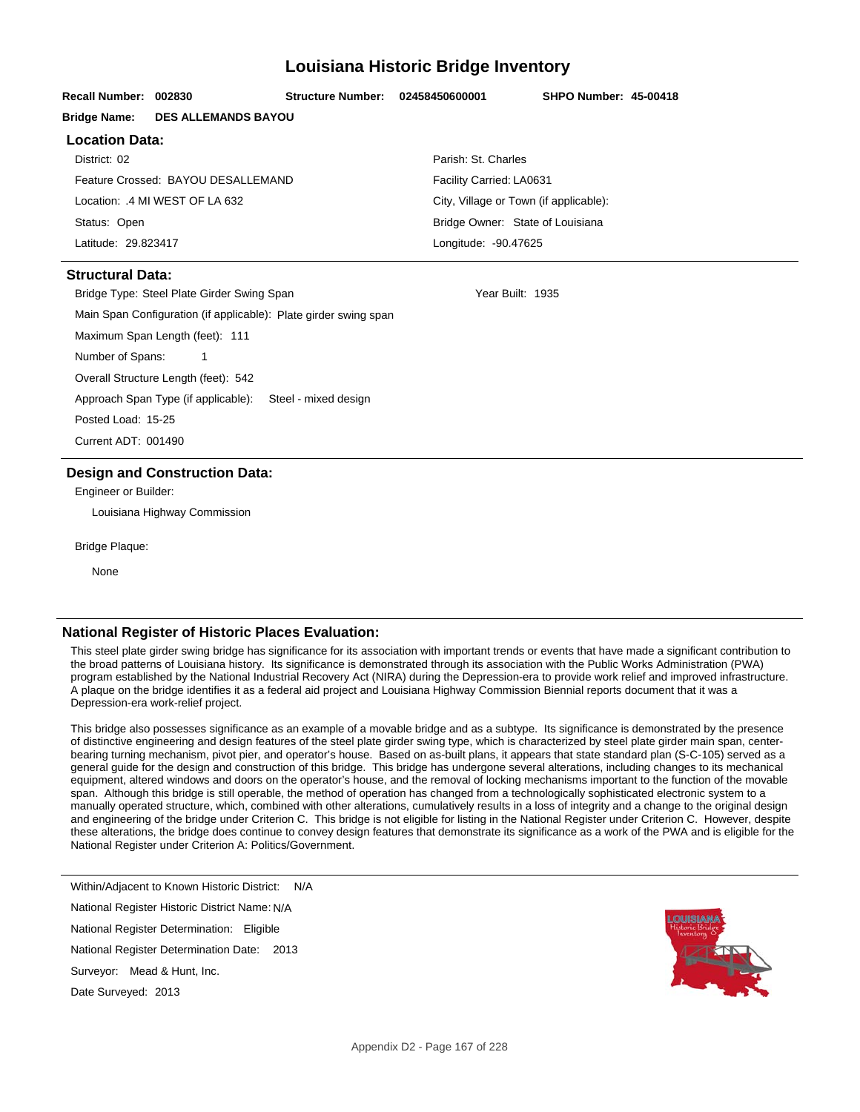## **Louisiana Historic Bridge Inventory**

| Recall Number: 002830                                            |                                    | <b>Structure Number:</b> | 02458450600001 | <b>SHPO Number: 45-00418</b>           |  |  |
|------------------------------------------------------------------|------------------------------------|--------------------------|----------------|----------------------------------------|--|--|
|                                                                  |                                    |                          |                |                                        |  |  |
| <b>Bridge Name:</b>                                              | <b>DES ALLEMANDS BAYOU</b>         |                          |                |                                        |  |  |
| <b>Location Data:</b>                                            |                                    |                          |                |                                        |  |  |
| District: 02                                                     |                                    |                          |                | Parish: St. Charles                    |  |  |
|                                                                  | Feature Crossed: BAYOU DESALLEMAND |                          |                | Facility Carried: LA0631               |  |  |
| Location: .4 MI WEST OF LA 632                                   |                                    |                          |                | City, Village or Town (if applicable): |  |  |
| Status: Open                                                     |                                    |                          |                | Bridge Owner: State of Louisiana       |  |  |
| Latitude: 29.823417                                              |                                    |                          |                | Longitude: - 90.47625                  |  |  |
| <b>Structural Data:</b>                                          |                                    |                          |                |                                        |  |  |
| Bridge Type: Steel Plate Girder Swing Span                       |                                    |                          |                | Year Built: 1935                       |  |  |
| Main Span Configuration (if applicable): Plate girder swing span |                                    |                          |                |                                        |  |  |
| Maximum Span Length (feet): 111                                  |                                    |                          |                |                                        |  |  |
| Number of Spans:<br>1                                            |                                    |                          |                |                                        |  |  |
| Overall Structure Length (feet): 542                             |                                    |                          |                |                                        |  |  |
| Approach Span Type (if applicable): Steel - mixed design         |                                    |                          |                |                                        |  |  |
| Posted Load: 15-25                                               |                                    |                          |                |                                        |  |  |
| Current ADT: 001490                                              |                                    |                          |                |                                        |  |  |
| <b>Design and Construction Data:</b>                             |                                    |                          |                |                                        |  |  |
| Engineer or Builder:                                             |                                    |                          |                |                                        |  |  |
|                                                                  | Louisiana Highway Commission       |                          |                |                                        |  |  |
| <b>Bridge Plaque:</b>                                            |                                    |                          |                |                                        |  |  |
|                                                                  |                                    |                          |                |                                        |  |  |

None

## **National Register of Historic Places Evaluation:**

This steel plate girder swing bridge has significance for its association with important trends or events that have made a significant contribution to the broad patterns of Louisiana history. Its significance is demonstrated through its association with the Public Works Administration (PWA) program established by the National Industrial Recovery Act (NIRA) during the Depression-era to provide work relief and improved infrastructure. A plaque on the bridge identifies it as a federal aid project and Louisiana Highway Commission Biennial reports document that it was a Depression-era work-relief project.

This bridge also possesses significance as an example of a movable bridge and as a subtype. Its significance is demonstrated by the presence of distinctive engineering and design features of the steel plate girder swing type, which is characterized by steel plate girder main span, centerbearing turning mechanism, pivot pier, and operator's house. Based on as-built plans, it appears that state standard plan (S-C-105) served as a general guide for the design and construction of this bridge. This bridge has undergone several alterations, including changes to its mechanical equipment, altered windows and doors on the operator's house, and the removal of locking mechanisms important to the function of the movable span. Although this bridge is still operable, the method of operation has changed from a technologically sophisticated electronic system to a manually operated structure, which, combined with other alterations, cumulatively results in a loss of integrity and a change to the original design and engineering of the bridge under Criterion C. This bridge is not eligible for listing in the National Register under Criterion C. However, despite these alterations, the bridge does continue to convey design features that demonstrate its significance as a work of the PWA and is eligible for the National Register under Criterion A: Politics/Government.

National Register Historic District Name: N/A National Register Determination: Eligible Within/Adjacent to Known Historic District: N/A

National Register Determination Date: 2013

Surveyor: Mead & Hunt, Inc.

Date Surveyed: 2013